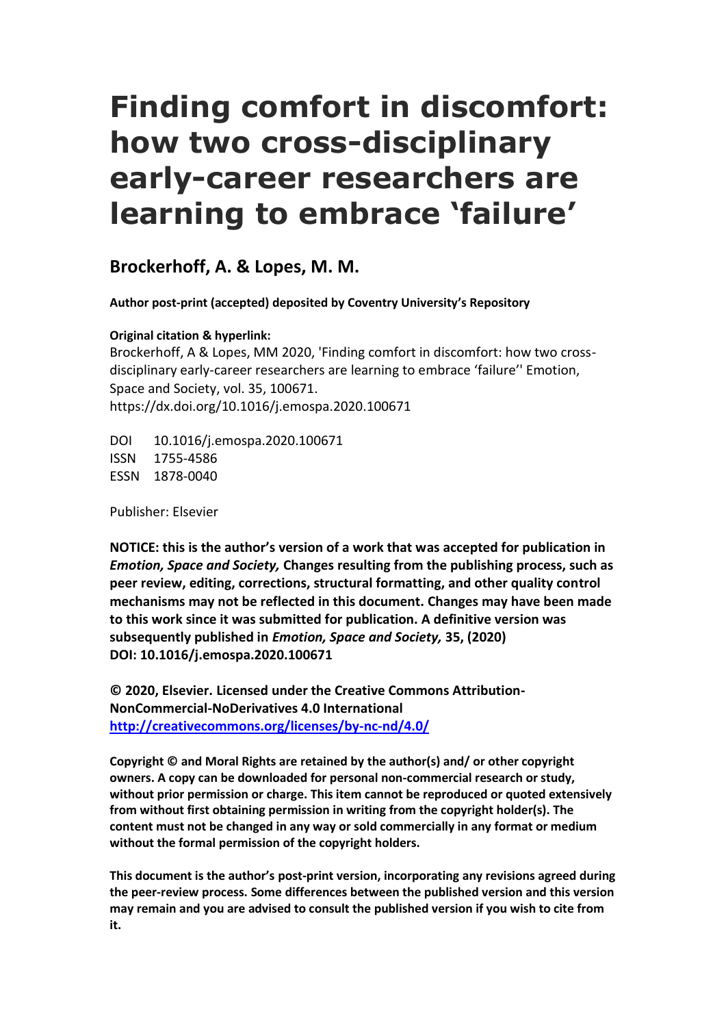## **Finding comfort in discomfort: how two cross-disciplinary early-career researchers are learning to embrace 'failure'**

**Brockerhoff, A. & Lopes, M. M.** 

 **Author post-print (accepted) deposited by Coventry University's Repository** 

## **Original citation & hyperlink:**

 Brockerhoff, A & Lopes, MM 2020, 'Finding comfort in discomfort: how two cross- disciplinary early-career researchers are learning to embrace 'failure'' Emotion, Space and Society, vol. 35, 100671. https://dx.doi.org/10.1016/j.emospa.2020.100671

DOI 10.1016/j.emospa.2020.100671 ISSN 1755-4586 ESSN 1878-0040

Publisher: Elsevier

 **NOTICE: this is the author's version of a work that was accepted for publication in**  *Emotion, Space and Society,* **Changes resulting from the publishing process, such as peer review, editing, corrections, structural formatting, and other quality control mechanisms may not be reflected in this document. Changes may have been made to this work since it was submitted for publication. A definitive version was subsequently published in** *Emotion, Space and Society,* **35, (2020) DOI: 10.1016/j.emospa.2020.100671** 

 **© 2020, Elsevier. Licensed under the Creative Commons Attribution-NonCommercial-NoDerivatives 4.0 International <http://creativecommons.org/licenses/by-nc-nd/4.0/>**

 **owners. A copy can be downloaded for personal non-commercial research or study, without prior permission or charge. This item cannot be reproduced or quoted extensively from without first obtaining permission in writing from the copyright holder(s). The content must not be changed in any way or sold commercially in any format or medium Copyright © and Moral Rights are retained by the author(s) and/ or other copyright without the formal permission of the copyright holders.** 

 **the peer-review process. Some differences between the published version and this version This document is the author's post-print version, incorporating any revisions agreed during may remain and you are advised to consult the published version if you wish to cite from it.**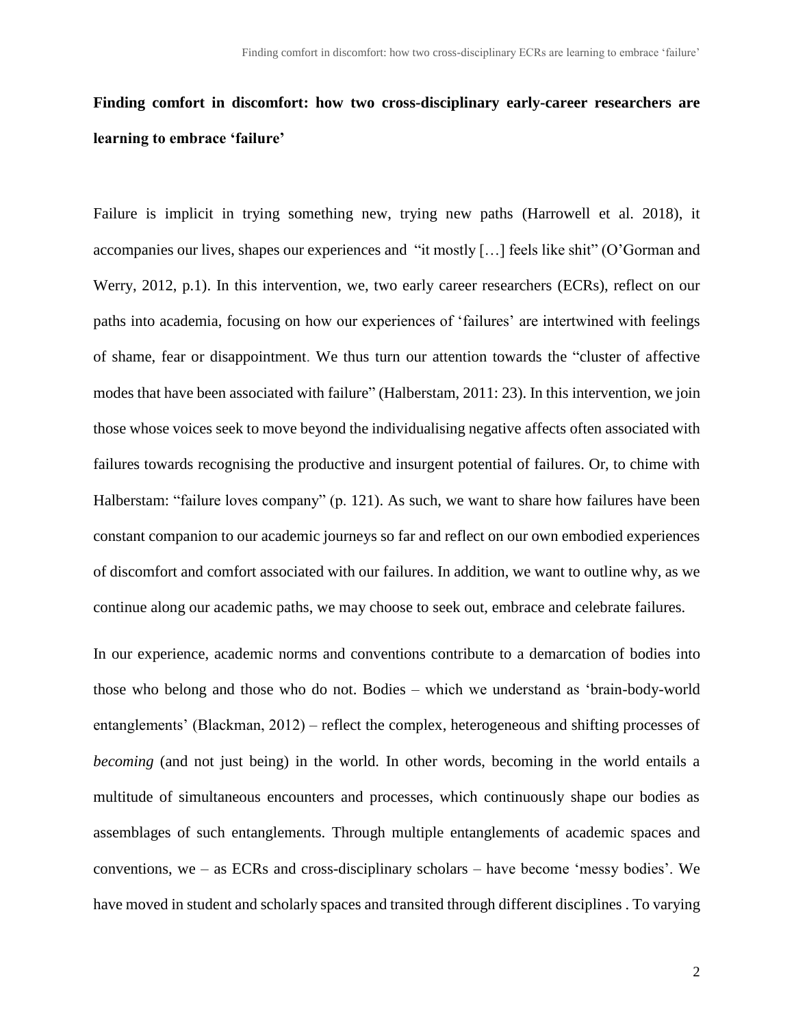## **Finding comfort in discomfort: how two cross-disciplinary early-career researchers are learning to embrace 'failure'**

 Failure is implicit in trying something new, trying new paths (Harrowell et al. 2018), it accompanies our lives, shapes our experiences and "it mostly […] feels like shit" (O'Gorman and paths into academia, focusing on how our experiences of 'failures' are intertwined with feelings of shame, fear or disappointment. We thus turn our attention towards the "cluster of affective modes that have been associated with failure" (Halberstam, 2011: 23). In this intervention, we join those whose voices seek to move beyond the individualising negative affects often associated with failures towards recognising the productive and insurgent potential of failures. Or, to chime with Halberstam: "failure loves company" (p. 121). As such, we want to share how failures have been of discomfort and comfort associated with our failures. In addition, we want to outline why, as we Werry, 2012, p.1). In this intervention, we, two early career researchers (ECRs), reflect on our constant companion to our academic journeys so far and reflect on our own embodied experiences continue along our academic paths, we may choose to seek out, embrace and celebrate failures.

 In our experience, academic norms and conventions contribute to a demarcation of bodies into those who belong and those who do not. Bodies – which we understand as 'brain-body-world entanglements' (Blackman, 2012) – reflect the complex, heterogeneous and shifting processes of *becoming* (and not just being) in the world. In other words, becoming in the world entails a multitude of simultaneous encounters and processes, which continuously shape our bodies as assemblages of such entanglements. Through multiple entanglements of academic spaces and conventions, we – as ECRs and cross-disciplinary scholars – have become 'messy bodies'. We have moved in student and scholarly spaces and transited through different disciplines . To varying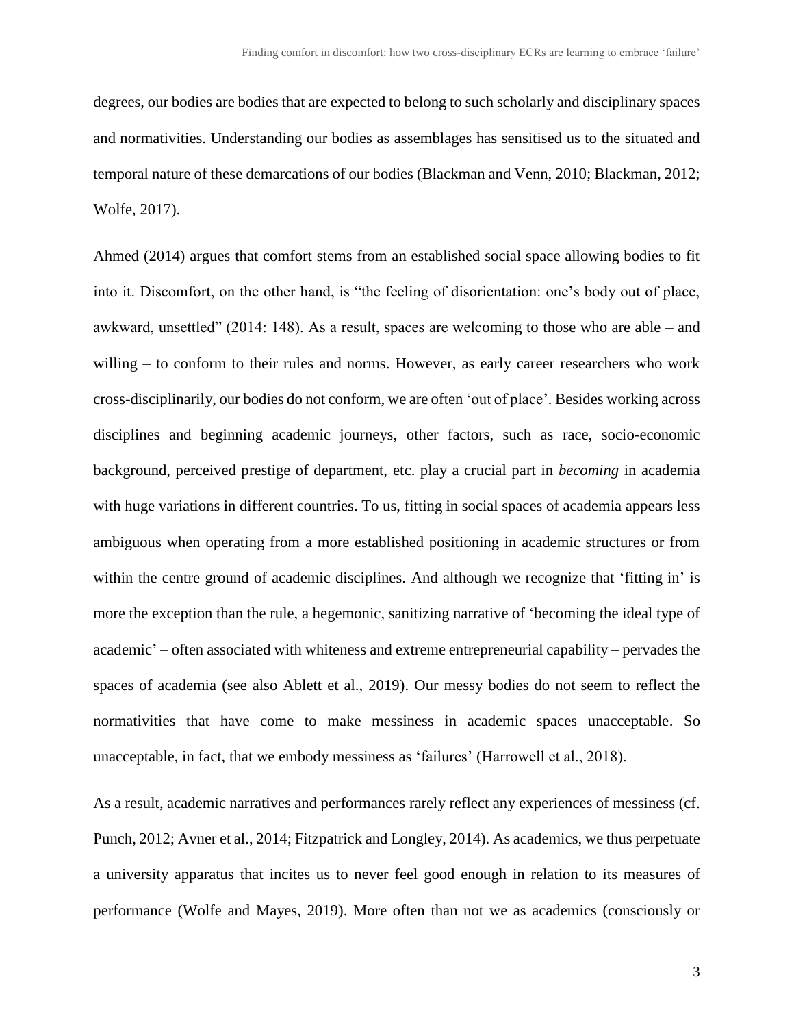degrees, our bodies are bodies that are expected to belong to such scholarly and disciplinary spaces and normativities. Understanding our bodies as assemblages has sensitised us to the situated and temporal nature of these demarcations of our bodies (Blackman and Venn, 2010; Blackman, 2012; Wolfe, 2017).

 Ahmed (2014) argues that comfort stems from an established social space allowing bodies to fit into it. Discomfort, on the other hand, is "the feeling of disorientation: one's body out of place, awkward, unsettled" (2014: 148). As a result, spaces are welcoming to those who are able – and willing – to conform to their rules and norms. However, as early career researchers who work cross-disciplinarily, our bodies do not conform, we are often 'out of place'. Besides working across disciplines and beginning academic journeys, other factors, such as race, socio-economic background, perceived prestige of department, etc. play a crucial part in *becoming* in academia with huge variations in different countries. To us, fitting in social spaces of academia appears less ambiguous when operating from a more established positioning in academic structures or from within the centre ground of academic disciplines. And although we recognize that 'fitting in' is more the exception than the rule, a hegemonic, sanitizing narrative of 'becoming the ideal type of academic' – often associated with whiteness and extreme entrepreneurial capability – pervades the spaces of academia (see also Ablett et al., 2019). Our messy bodies do not seem to reflect the normativities that have come to make messiness in academic spaces unacceptable. So unacceptable, in fact, that we embody messiness as 'failures' (Harrowell et al., 2018).

 As a result, academic narratives and performances rarely reflect any experiences of messiness (cf. a university apparatus that incites us to never feel good enough in relation to its measures of performance (Wolfe and Mayes, 2019). More often than not we as academics (consciously or Punch, 2012; Avner et al., 2014; Fitzpatrick and Longley, 2014). As academics, we thus perpetuate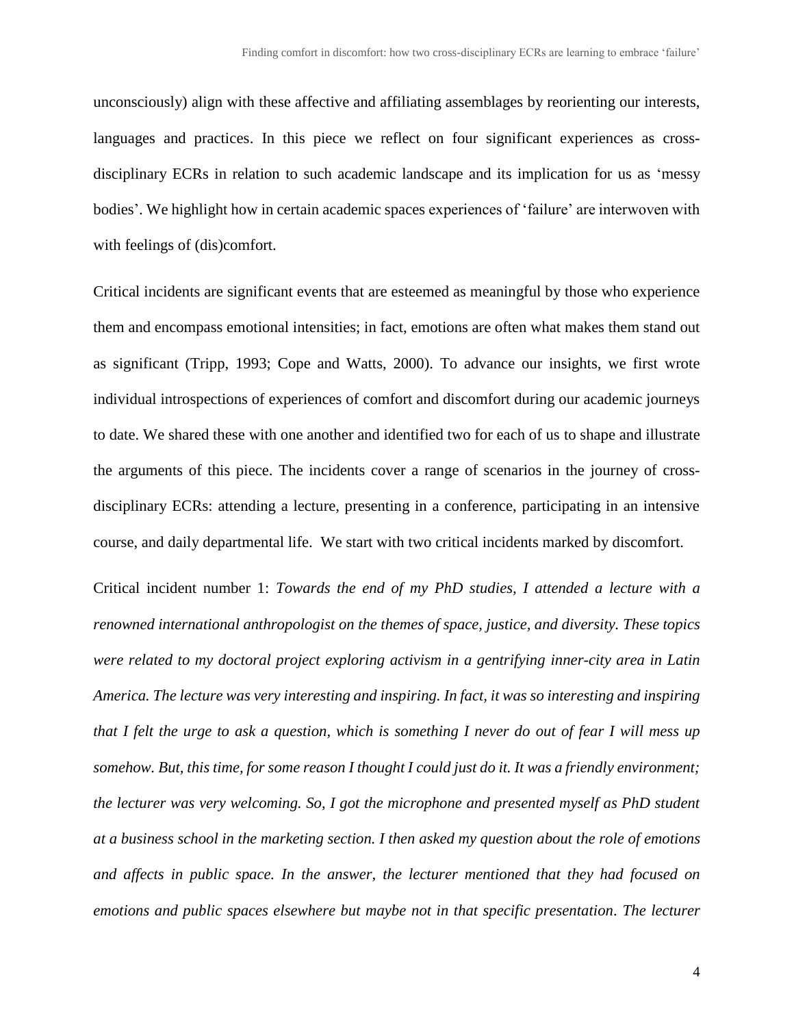unconsciously) align with these affective and affiliating assemblages by reorienting our interests, languages and practices. In this piece we reflect on four significant experiences as cross- disciplinary ECRs in relation to such academic landscape and its implication for us as 'messy bodies'. We highlight how in certain academic spaces experiences of 'failure' are interwoven with with feelings of (dis)comfort.

 Critical incidents are significant events that are esteemed as meaningful by those who experience as significant (Tripp, 1993; Cope and Watts, 2000). To advance our insights, we first wrote individual introspections of experiences of comfort and discomfort during our academic journeys to date. We shared these with one another and identified two for each of us to shape and illustrate the arguments of this piece. The incidents cover a range of scenarios in the journey of cross- disciplinary ECRs: attending a lecture, presenting in a conference, participating in an intensive course, and daily departmental life. We start with two critical incidents marked by discomfort. them and encompass emotional intensities; in fact, emotions are often what makes them stand out

 Critical incident number 1: *Towards the end of my PhD studies, I attended a lecture with a were related to my doctoral project exploring activism in a gentrifying inner-city area in Latin America. The lecture was very interesting and inspiring. In fact, it was so interesting and inspiring that I felt the urge to ask a question, which is something I never do out of fear I will mess up somehow. But, this time, for some reason I thought I could just do it. It was a friendly environment; the lecturer was very welcoming. So, I got the microphone and presented myself as PhD student and affects in public space. In the answer, the lecturer mentioned that they had focused on*  emotions and public spaces elsewhere but maybe not in that specific presentation. The lecturer *renowned international anthropologist on the themes of space, justice, and diversity. These topics at a business school in the marketing section. I then asked my question about the role of emotions*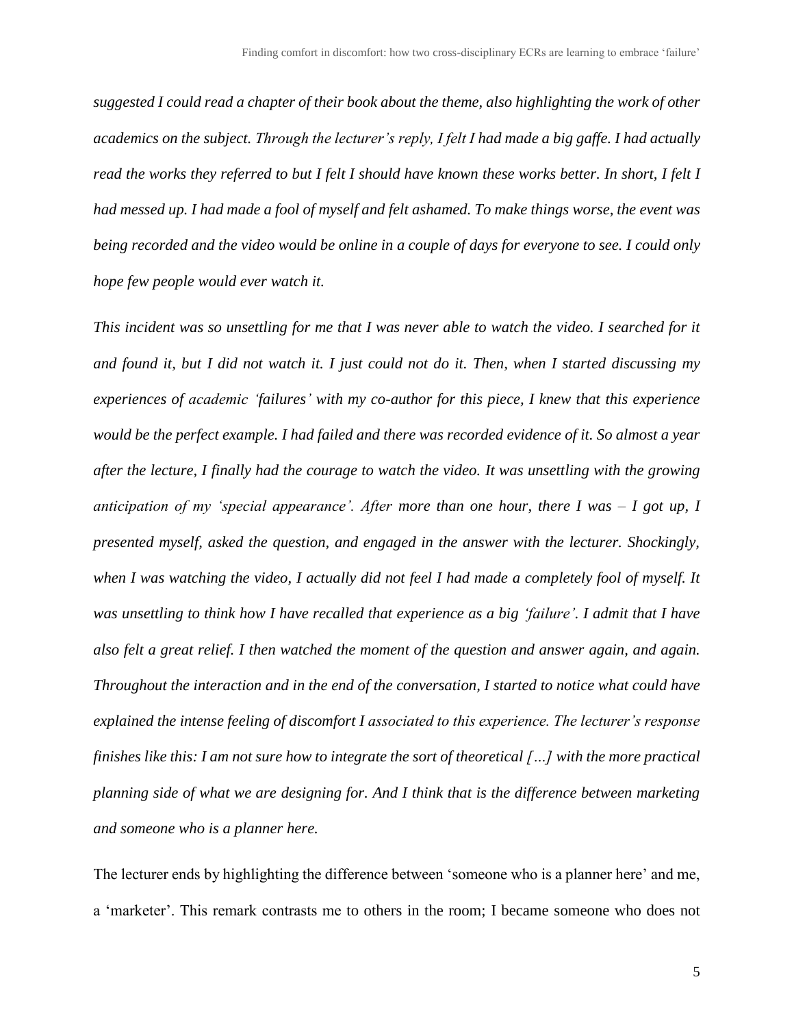*suggested I could read a chapter of their book about the theme, also highlighting the work of other read the works they referred to but I felt I should have known these works better. In short, I felt I had messed up. I had made a fool of myself and felt ashamed. To make things worse, the event was being recorded and the video would be online in a couple of days for everyone to see. I could only hope few people would ever watch it. academics on the subject. Through the lecturer's reply, I felt I had made a big gaffe. I had actually* 

 *This incident was so unsettling for me that I was never able to watch the video. I searched for it and found it, but I did not watch it. I just could not do it. Then, when I started discussing my experiences of academic 'failures' with my co-author for this piece, I knew that this experience would be the perfect example. I had failed and there was recorded evidence of it. So almost a year after the lecture, I finally had the courage to watch the video. It was unsettling with the growing anticipation of my 'special appearance'. After more than one hour, there I was – I got up, I*  when I was watching the video, I actually did not feel I had made a completely fool of myself. It  *was unsettling to think how I have recalled that experience as a big 'failure'. I admit that I have explained the intense feeling of discomfort I associated to this experience. The lecturer's response finishes like this: I am not sure how to integrate the sort of theoretical […] with the more practical planning side of what we are designing for. And I think that is the difference between marketing and someone who is a planner here. presented myself, asked the question, and engaged in the answer with the lecturer. Shockingly, also felt a great relief. I then watched the moment of the question and answer again, and again. Throughout the interaction and in the end of the conversation, I started to notice what could have* 

 The lecturer ends by highlighting the difference between 'someone who is a planner here' and me, a 'marketer'. This remark contrasts me to others in the room; I became someone who does not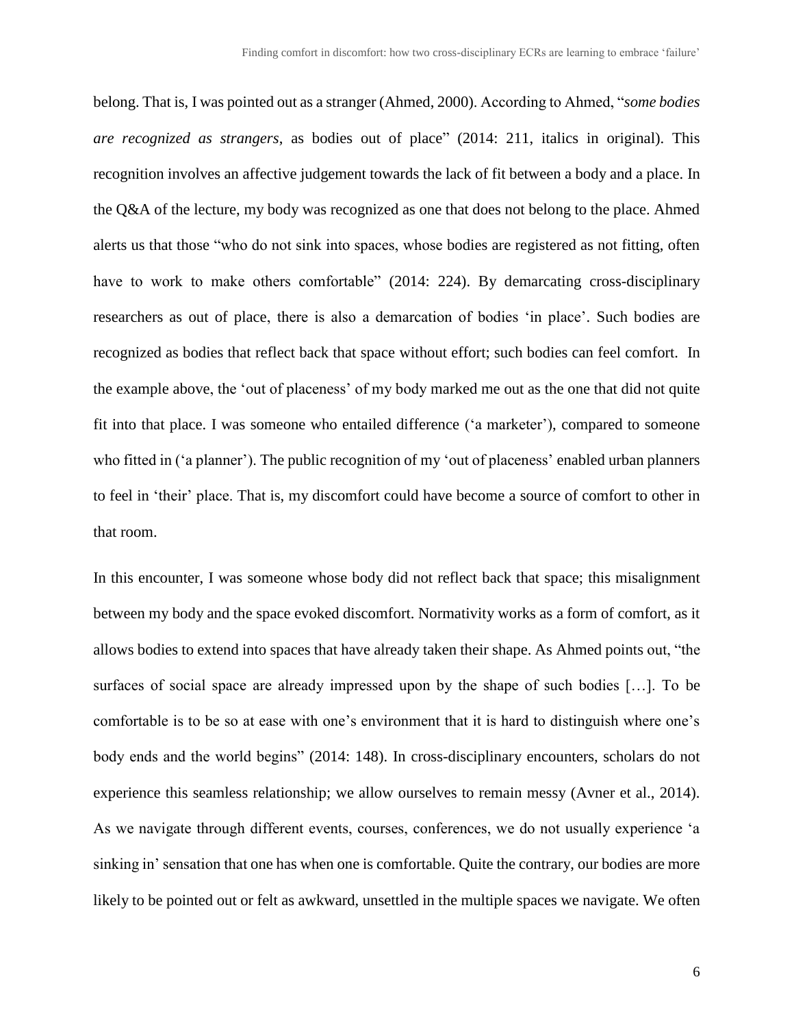belong. That is, I was pointed out as a stranger (Ahmed, 2000). According to Ahmed, "*some bodies are recognized as strangers*, as bodies out of place" (2014: 211, italics in original). This recognition involves an affective judgement towards the lack of fit between a body and a place. In the Q&A of the lecture, my body was recognized as one that does not belong to the place. Ahmed alerts us that those "who do not sink into spaces, whose bodies are registered as not fitting, often have to work to make others comfortable" (2014: 224). By demarcating cross-disciplinary researchers as out of place, there is also a demarcation of bodies 'in place'. Such bodies are recognized as bodies that reflect back that space without effort; such bodies can feel comfort. In the example above, the 'out of placeness' of my body marked me out as the one that did not quite who fitted in ('a planner'). The public recognition of my 'out of placeness' enabled urban planners to feel in 'their' place. That is, my discomfort could have become a source of comfort to other in fit into that place. I was someone who entailed difference ('a marketer'), compared to someone that room.

 In this encounter, I was someone whose body did not reflect back that space; this misalignment between my body and the space evoked discomfort. Normativity works as a form of comfort, as it allows bodies to extend into spaces that have already taken their shape. As Ahmed points out, "the surfaces of social space are already impressed upon by the shape of such bodies […]. To be comfortable is to be so at ease with one's environment that it is hard to distinguish where one's body ends and the world begins" (2014: 148). In cross-disciplinary encounters, scholars do not experience this seamless relationship; we allow ourselves to remain messy (Avner et al., 2014). As we navigate through different events, courses, conferences, we do not usually experience 'a sinking in' sensation that one has when one is comfortable. Quite the contrary, our bodies are more likely to be pointed out or felt as awkward, unsettled in the multiple spaces we navigate. We often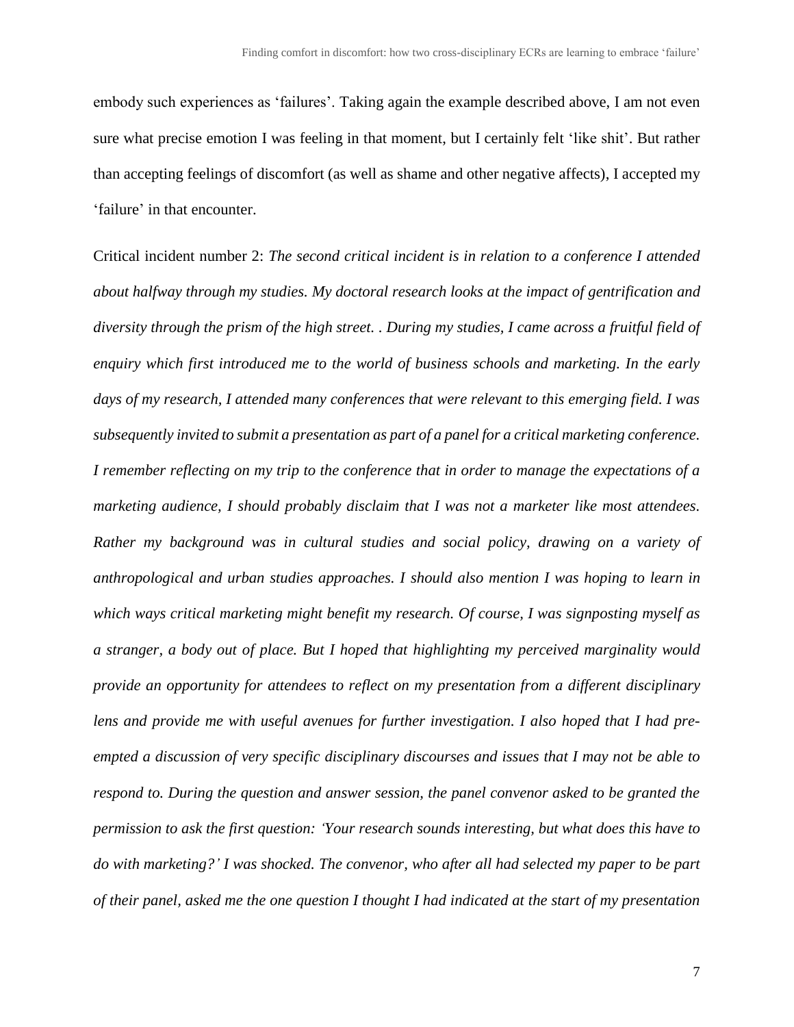embody such experiences as 'failures'. Taking again the example described above, I am not even sure what precise emotion I was feeling in that moment, but I certainly felt 'like shit'. But rather than accepting feelings of discomfort (as well as shame and other negative affects), I accepted my 'failure' in that encounter.

 Critical incident number 2: *The second critical incident is in relation to a conference I attended about halfway through my studies. My doctoral research looks at the impact of gentrification and diversity through the prism of the high street. . During my studies, I came across a fruitful field of enquiry which first introduced me to the world of business schools and marketing. In the early I remember reflecting on my trip to the conference that in order to manage the expectations of a marketing audience, I should probably disclaim that I was not a marketer like most attendees.*  Rather my background was in cultural studies and social policy, drawing on a variety of  *anthropological and urban studies approaches. I should also mention I was hoping to learn in which ways critical marketing might benefit my research. Of course, I was signposting myself as a stranger, a body out of place. But I hoped that highlighting my perceived marginality would provide an opportunity for attendees to reflect on my presentation from a different disciplinary*  lens and provide me with useful avenues for further investigation. I also hoped that I had pre- *empted a discussion of very specific disciplinary discourses and issues that I may not be able to respond to. During the question and answer session, the panel convenor asked to be granted the do with marketing?' I was shocked. The convenor, who after all had selected my paper to be part of their panel, asked me the one question I thought I had indicated at the start of my presentation days of my research, I attended many conferences that were relevant to this emerging field. I was subsequently invited to submit a presentation as part of a panel for a critical marketing conference. permission to ask the first question: 'Your research sounds interesting, but what does this have to*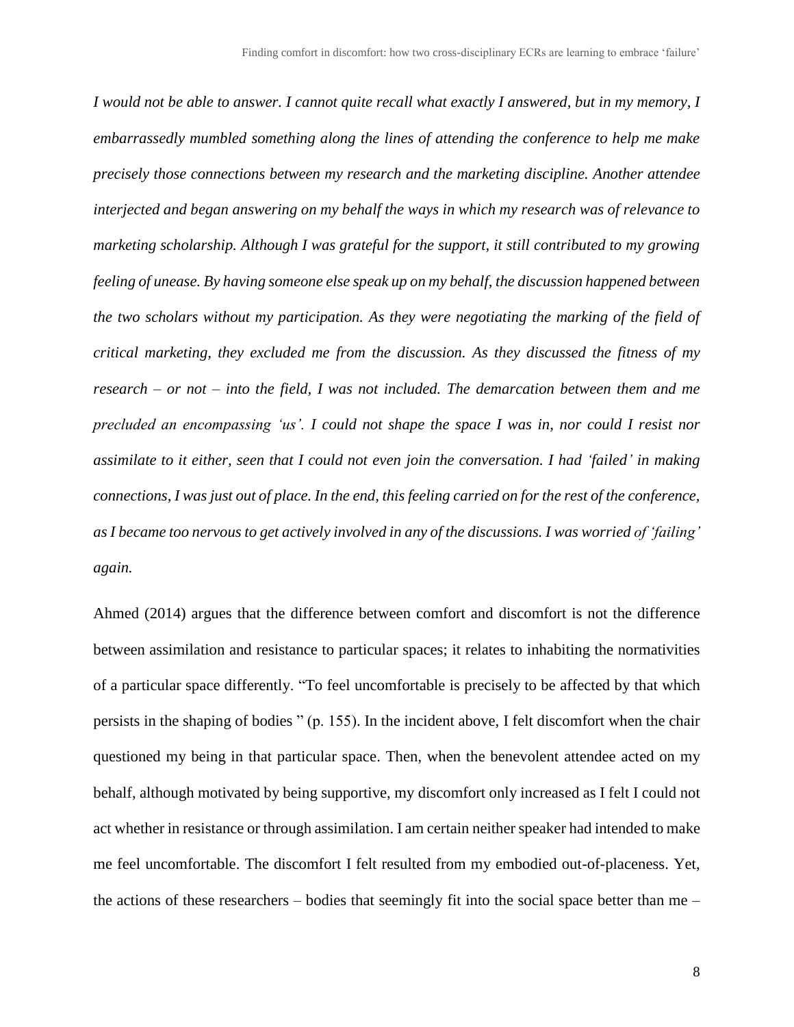*I* would not be able to answer. I cannot quite recall what exactly I answered, but in my memory, I  *embarrassedly mumbled something along the lines of attending the conference to help me make interjected and began answering on my behalf the ways in which my research was of relevance to marketing scholarship. Although I was grateful for the support, it still contributed to my growing feeling of unease. By having someone else speak up on my behalf, the discussion happened between the two scholars without my participation. As they were negotiating the marking of the field of critical marketing, they excluded me from the discussion. As they discussed the fitness of my research – or not – into the field, I was not included. The demarcation between them and me precluded an encompassing 'us'. I could not shape the space I was in, nor could I resist nor assimilate to it either, seen that I could not even join the conversation. I had 'failed' in making as I became too nervous to get actively involved in any of the discussions. I was worried of 'failing' again. precisely those connections between my research and the marketing discipline. Another attendee connections, I was just out of place. In the end, this feeling carried on for the rest of the conference,* 

 Ahmed (2014) argues that the difference between comfort and discomfort is not the difference between assimilation and resistance to particular spaces; it relates to inhabiting the normativities of a particular space differently. "To feel uncomfortable is precisely to be affected by that which persists in the shaping of bodies " (p. 155). In the incident above, I felt discomfort when the chair questioned my being in that particular space. Then, when the benevolent attendee acted on my behalf, although motivated by being supportive, my discomfort only increased as I felt I could not act whether in resistance or through assimilation. I am certain neither speaker had intended to make me feel uncomfortable. The discomfort I felt resulted from my embodied out-of-placeness. Yet, the actions of these researchers – bodies that seemingly fit into the social space better than me –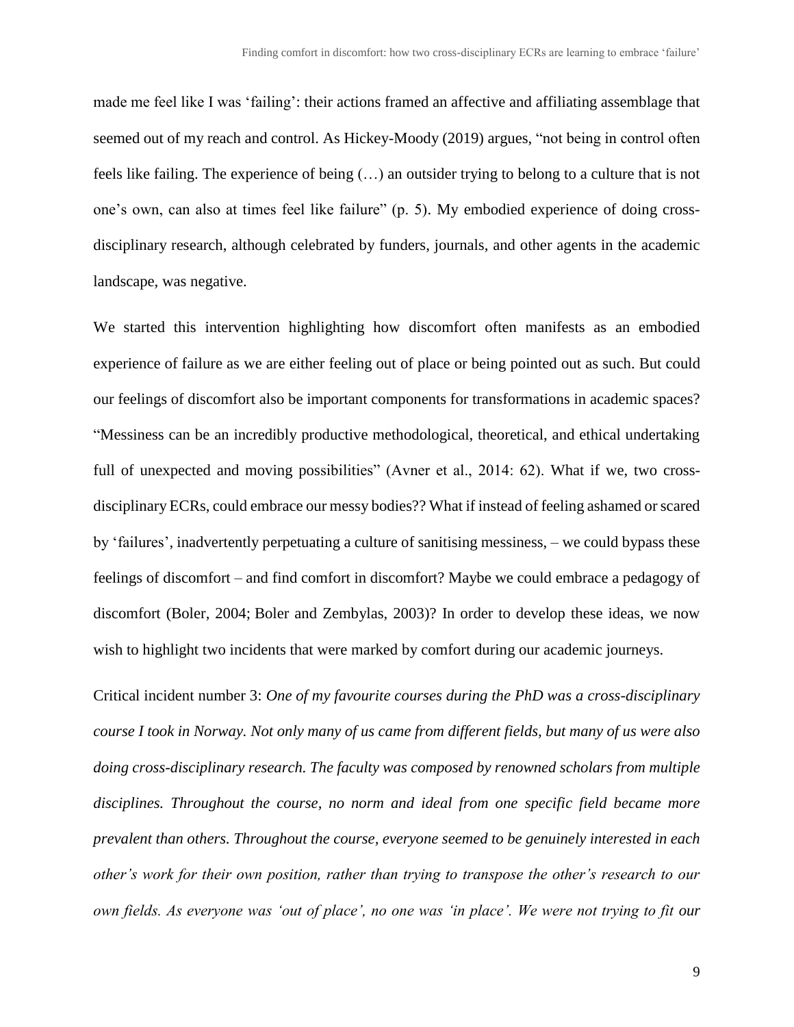made me feel like I was 'failing': their actions framed an affective and affiliating assemblage that feels like failing. The experience of being (…) an outsider trying to belong to a culture that is not one's own, can also at times feel like failure" (p. 5). My embodied experience of doing crossseemed out of my reach and control. As Hickey-Moody (2019) argues, "not being in control often disciplinary research, although celebrated by funders, journals, and other agents in the academic landscape, was negative.

 We started this intervention highlighting how discomfort often manifests as an embodied experience of failure as we are either feeling out of place or being pointed out as such. But could "Messiness can be an incredibly productive methodological, theoretical, and ethical undertaking disciplinary ECRs, could embrace our messy bodies?? What if instead of feeling ashamed or scared by 'failures', inadvertently perpetuating a culture of sanitising messiness, – we could bypass these feelings of discomfort – and find comfort in discomfort? Maybe we could embrace a pedagogy of discomfort (Boler, 2004; Boler and Zembylas, 2003)? In order to develop these ideas, we now wish to highlight two incidents that were marked by comfort during our academic journeys. our feelings of discomfort also be important components for transformations in academic spaces? full of unexpected and moving possibilities" (Avner et al., 2014: 62). What if we, two cross-

 Critical incident number 3: *One of my favourite courses during the PhD was a cross-disciplinary course I took in Norway. Not only many of us came from different fields, but many of us were also doing cross-disciplinary research. The faculty was composed by renowned scholars from multiple disciplines. Throughout the course, no norm and ideal from one specific field became more prevalent than others. Throughout the course, everyone seemed to be genuinely interested in each own fields. As everyone was 'out of place', no one was 'in place'. We were not trying to fit our other's work for their own position, rather than trying to transpose the other's research to our*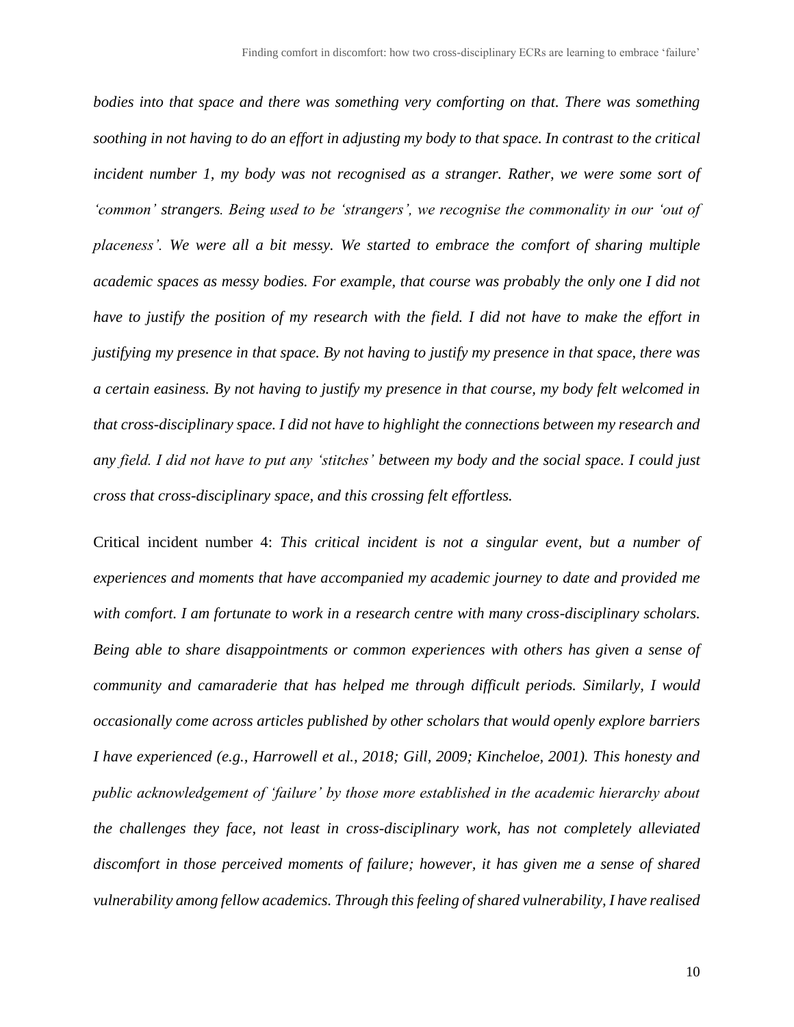bodies into that space and there was something very comforting on that. There was something  *soothing in not having to do an effort in adjusting my body to that space. In contrast to the critical*  incident number 1, my body was not recognised as a stranger. Rather, we were some sort of  *'common' strangers. Being used to be 'strangers', we recognise the commonality in our 'out of placeness'. We were all a bit messy. We started to embrace the comfort of sharing multiple*  academic spaces as messy bodies. For example, that course was probably the only one I did not have to justify the position of my research with the field. I did not have to make the effort in  *justifying my presence in that space. By not having to justify my presence in that space, there was a certain easiness. By not having to justify my presence in that course, my body felt welcomed in any field. I did not have to put any 'stitches' between my body and the social space. I could just that cross-disciplinary space. I did not have to highlight the connections between my research and cross that cross-disciplinary space, and this crossing felt effortless.* 

 Critical incident number 4: *This critical incident is not a singular event, but a number of experiences and moments that have accompanied my academic journey to date and provided me community and camaraderie that has helped me through difficult periods. Similarly, I would I have experienced (e.g., Harrowell et al., 2018; Gill, 2009; Kincheloe, 2001). This honesty and*  public acknowledgement of 'failure' by those more established in the academic hierarchy about  *the challenges they face, not least in cross-disciplinary work, has not completely alleviated discomfort in those perceived moments of failure; however, it has given me a sense of shared vulnerability among fellow academics. Through this feeling of shared vulnerability, I have realised with comfort. I am fortunate to work in a research centre with many cross-disciplinary scholars. Being able to share disappointments or common experiences with others has given a sense of occasionally come across articles published by other scholars that would openly explore barriers*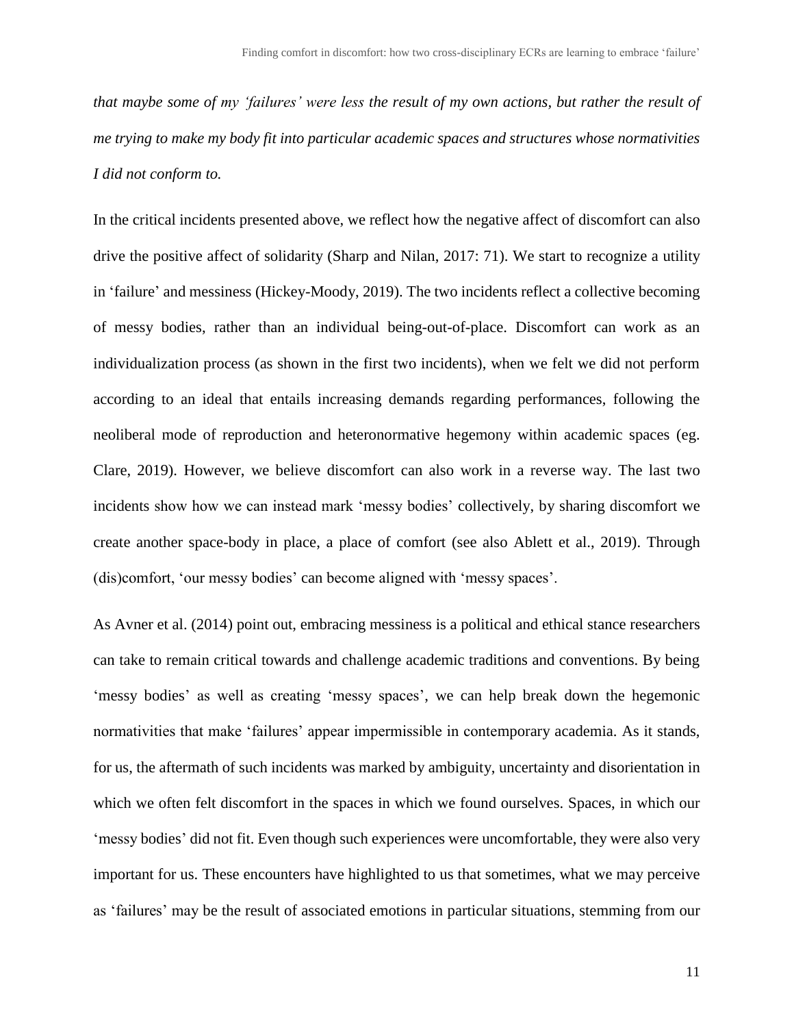*that maybe some of my 'failures' were less the result of my own actions, but rather the result of me trying to make my body fit into particular academic spaces and structures whose normativities I did not conform to.* 

 drive the positive affect of solidarity (Sharp and Nilan, 2017: 71). We start to recognize a utility in 'failure' and messiness (Hickey-Moody, 2019). The two incidents reflect a collective becoming of messy bodies, rather than an individual being-out-of-place. Discomfort can work as an individualization process (as shown in the first two incidents), when we felt we did not perform according to an ideal that entails increasing demands regarding performances, following the neoliberal mode of reproduction and heteronormative hegemony within academic spaces (eg. Clare, 2019). However, we believe discomfort can also work in a reverse way. The last two incidents show how we can instead mark 'messy bodies' collectively, by sharing discomfort we create another space-body in place, a place of comfort (see also Ablett et al., 2019). Through (dis)comfort, 'our messy bodies' can become aligned with 'messy spaces'. In the critical incidents presented above, we reflect how the negative affect of discomfort can also

 can take to remain critical towards and challenge academic traditions and conventions. By being 'messy bodies' as well as creating 'messy spaces', we can help break down the hegemonic normativities that make 'failures' appear impermissible in contemporary academia. As it stands, for us, the aftermath of such incidents was marked by ambiguity, uncertainty and disorientation in which we often felt discomfort in the spaces in which we found ourselves. Spaces, in which our 'messy bodies' did not fit. Even though such experiences were uncomfortable, they were also very important for us. These encounters have highlighted to us that sometimes, what we may perceive as 'failures' may be the result of associated emotions in particular situations, stemming from our As Avner et al. (2014) point out, embracing messiness is a political and ethical stance researchers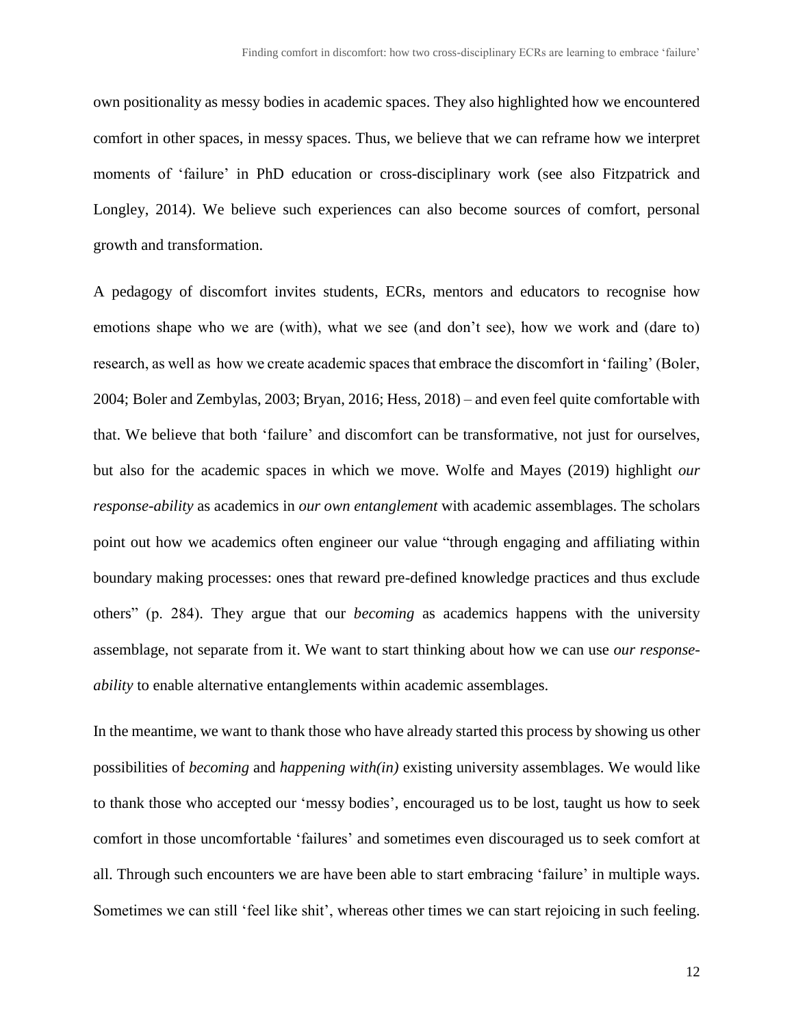own positionality as messy bodies in academic spaces. They also highlighted how we encountered comfort in other spaces, in messy spaces. Thus, we believe that we can reframe how we interpret moments of 'failure' in PhD education or cross-disciplinary work (see also Fitzpatrick and Longley, 2014). We believe such experiences can also become sources of comfort, personal growth and transformation.

 emotions shape who we are (with), what we see (and don't see), how we work and (dare to) research, as well as how we create academic spaces that embrace the discomfort in 'failing' (Boler, 2004; Boler and Zembylas, 2003; Bryan, 2016; Hess, 2018) – and even feel quite comfortable with that. We believe that both 'failure' and discomfort can be transformative, not just for ourselves, but also for the academic spaces in which we move. Wolfe and Mayes (2019) highlight *our*  point out how we academics often engineer our value "through engaging and affiliating within boundary making processes: ones that reward pre-defined knowledge practices and thus exclude others" (p. 284). They argue that our *becoming* as academics happens with the university assemblage, not separate from it. We want to start thinking about how we can use *our response- ability* to enable alternative entanglements within academic assemblages. A pedagogy of discomfort invites students, ECRs, mentors and educators to recognise how *response-ability* as academics in *our own entanglement* with academic assemblages. The scholars

 In the meantime, we want to thank those who have already started this process by showing us other possibilities of *becoming* and *happening with(in)* existing university assemblages. We would like to thank those who accepted our 'messy bodies', encouraged us to be lost, taught us how to seek comfort in those uncomfortable 'failures' and sometimes even discouraged us to seek comfort at all. Through such encounters we are have been able to start embracing 'failure' in multiple ways. Sometimes we can still 'feel like shit', whereas other times we can start rejoicing in such feeling.

12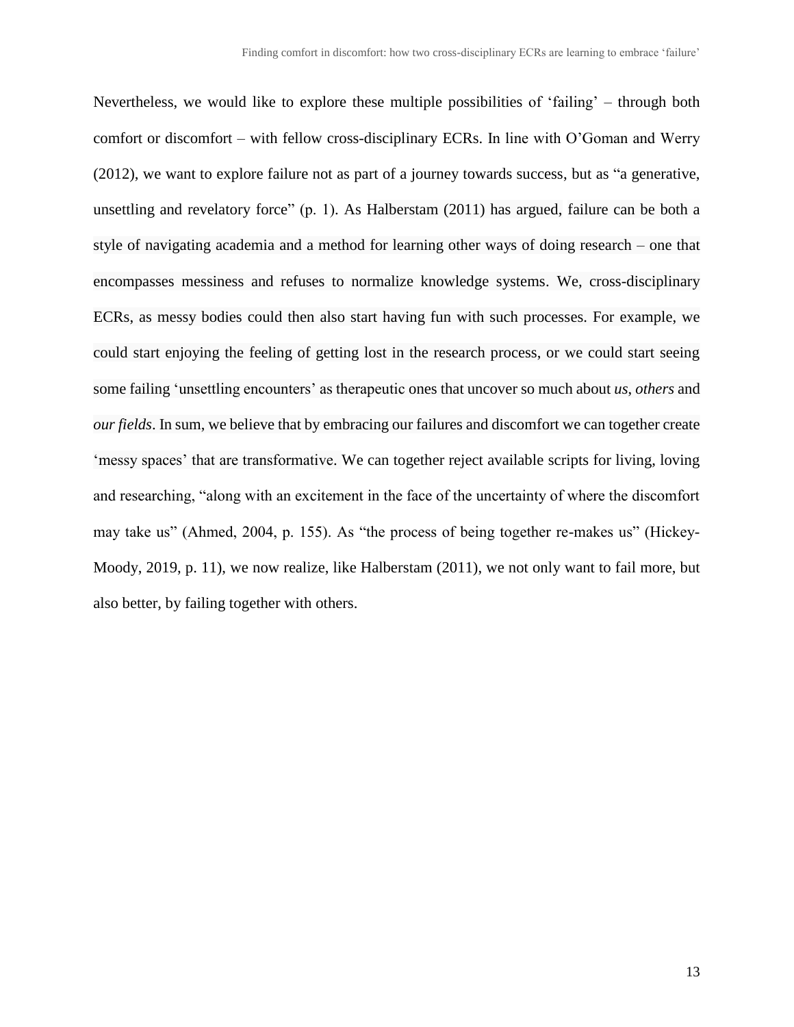Nevertheless, we would like to explore these multiple possibilities of 'failing' – through both comfort or discomfort – with fellow cross-disciplinary ECRs. In line with O'Goman and Werry (2012), we want to explore failure not as part of a journey towards success, but as "a generative, unsettling and revelatory force" (p. 1). As Halberstam (2011) has argued, failure can be both a style of navigating academia and a method for learning other ways of doing research – one that encompasses messiness and refuses to normalize knowledge systems. We, cross-disciplinary could start enjoying the feeling of getting lost in the research process, or we could start seeing some failing 'unsettling encounters' as therapeutic ones that uncover so much about *us*, *others* and *our fields*. In sum, we believe that by embracing our failures and discomfort we can together create 'messy spaces' that are transformative. We can together reject available scripts for living, loving and researching, "along with an excitement in the face of the uncertainty of where the discomfort may take us" (Ahmed, 2004, p. 155). As "the process of being together re-makes us" (Hickey- Moody, 2019, p. 11), we now realize, like Halberstam (2011), we not only want to fail more, but ECRs, as messy bodies could then also start having fun with such processes. For example, we also better, by failing together with others.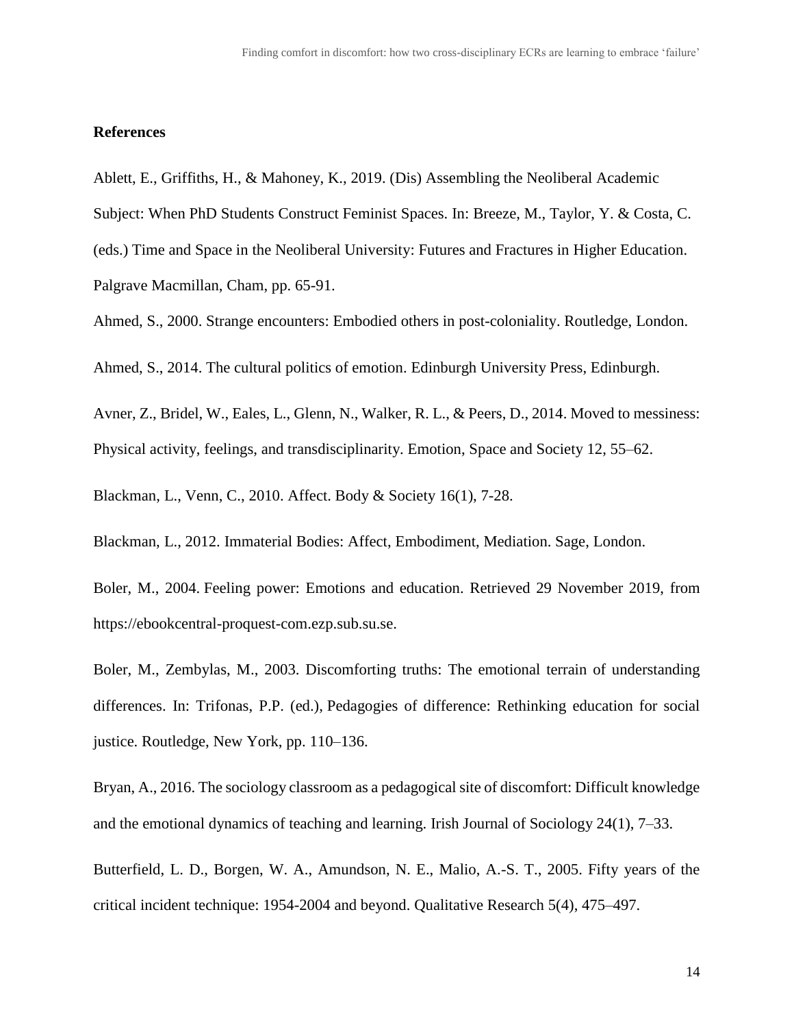## **References**

Ablett, E., Griffiths, H., & Mahoney, K., 2019. (Dis) Assembling the Neoliberal Academic Subject: When PhD Students Construct Feminist Spaces. In: Breeze, M., Taylor, Y. & Costa, C. (eds.) Time and Space in the Neoliberal University: Futures and Fractures in Higher Education. Palgrave Macmillan, Cham, pp. 65-91.

Ahmed, S., 2000. Strange encounters: Embodied others in post-coloniality. Routledge, London.

Ahmed, S., 2014. The cultural politics of emotion. Edinburgh University Press, Edinburgh.

 Physical activity, feelings, and transdisciplinarity. Emotion, Space and Society 12, 55–62. Avner, Z., Bridel, W., Eales, L., Glenn, N., Walker, R. L., & Peers, D., 2014. Moved to messiness:

Blackman, L., Venn, C., 2010. Affect. Body & Society 16(1), 7-28.

Blackman, L., 2012. Immaterial Bodies: Affect, Embodiment, Mediation. Sage, London.

Boler, M., 2004. Feeling power: Emotions and education. Retrieved 29 November 2019, from https://ebookcentral-proquest-com.ezp.sub.su.se.

 Boler, M., Zembylas, M., 2003. Discomforting truths: The emotional terrain of understanding differences. In: Trifonas, P.P. (ed.), Pedagogies of difference: Rethinking education for social justice. Routledge, New York, pp. 110–136.

 Bryan, A., 2016. The sociology classroom as a pedagogical site of discomfort: Difficult knowledge and the emotional dynamics of teaching and learning. Irish Journal of Sociology 24(1), 7–33.

 critical incident technique: 1954-2004 and beyond. Qualitative Research 5(4), 475–497. Butterfield, L. D., Borgen, W. A., Amundson, N. E., Malio, A.-S. T., 2005. Fifty years of the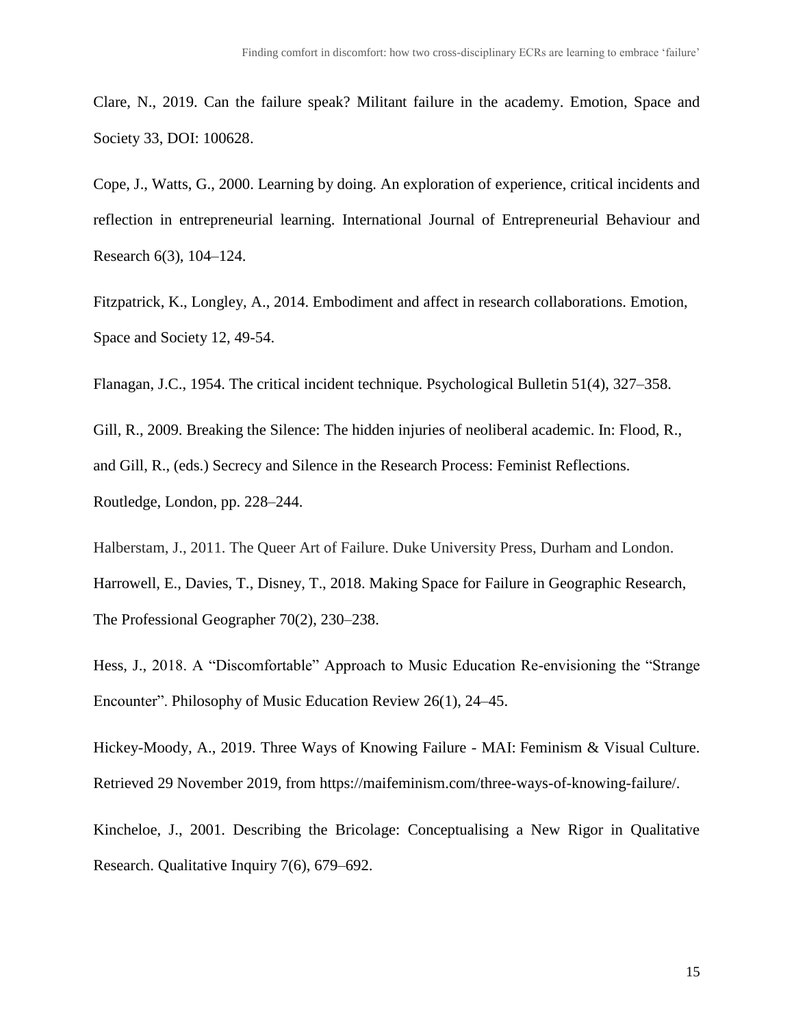Clare, N., 2019. Can the failure speak? Militant failure in the academy. [Emotion, Space and](https://www.sciencedirect.com/science/journal/17554586)  [Society](https://www.sciencedirect.com/science/journal/17554586) 33, DOI: 100628.

Cope, J., Watts, G., 2000. Learning by doing. An exploration of experience, critical incidents and reflection in entrepreneurial learning. International Journal of Entrepreneurial Behaviour and Research 6(3), 104–124.

 Space and Society 12, 49-54. Fitzpatrick, K., Longley, A., 2014. Embodiment and affect in research collaborations. Emotion,

Flanagan, J.C., 1954. The critical incident technique. Psychological Bulletin 51(4), 327–358.

 and Gill, R., (eds.) Secrecy and Silence in the Research Process: Feminist Reflections. Gill, R., 2009. Breaking the Silence: The hidden injuries of neoliberal academic. In: Flood, R., Routledge, London, pp. 228–244.

 Halberstam, J., 2011. The Queer Art of Failure. Duke University Press, Durham and London. Harrowell, E., Davies, T., Disney, T., 2018. Making Space for Failure in Geographic Research, The Professional Geographer 70(2), 230–238.

 Encounter". Philosophy of Music Education Review 26(1), 24–45. Hess, J., 2018. A "Discomfortable" Approach to Music Education Re-envisioning the "Strange

 Hickey-Moody, A., 2019. Three Ways of Knowing Failure - MAI: Feminism & Visual Culture. Retrieved 29 November 2019, from https://maifeminism.com/three-ways-of-knowing-failure/.

 Kincheloe, J., 2001. Describing the Bricolage: Conceptualising a New Rigor in Qualitative Research. Qualitative Inquiry 7(6), 679–692.